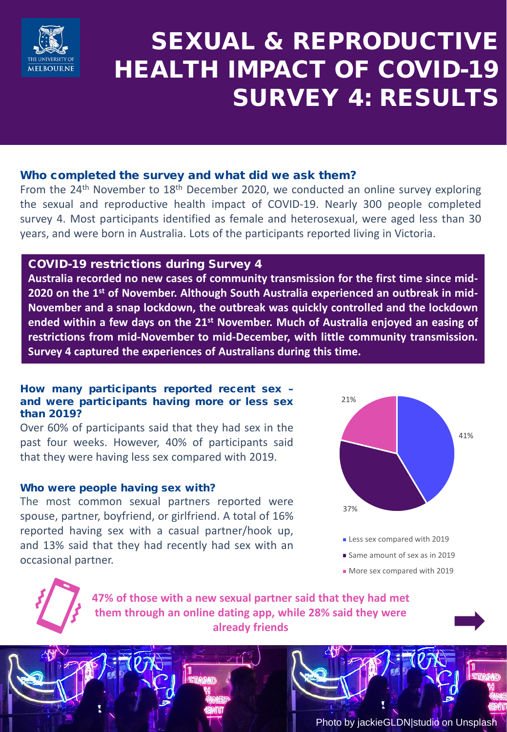

# SEXUAL & REPRODUCTIVE HEALTH IMPACT OF COVID-19 SURVEY 4: RESULTS

#### Who completed the survey and what did we ask them?

From the  $24<sup>th</sup>$  November to  $18<sup>th</sup>$  December 2020, we conducted an online survey exploring the sexual and reproductive health impact of COVID-19. Nearly 300 people completed survey 4. Most participants identified as female and heterosexual, were aged less than 30 years, and were born in Australia. Lots of the participants reported living in Victoria.

#### COVID-19 restrictions during Survey 4

**Australia recorded no new cases of community transmission for the first time since mid-2020 on the 1st of November. Although South Australia experienced an outbreak in mid-November and a snap lockdown, the outbreak was quickly controlled and the lockdown ended within a few days on the 21st November. Much of Australia enjoyed an easing of restrictions from mid-November to mid-December, with little community transmission. Survey 4 captured the experiences of Australians during this time.**

#### How many participants reported recent sex – and were participants having more or less sex than 2019?

Over 60% of participants said that they had sex in the past four weeks. However, 40% of participants said that they were having less sex compared with 2019.

#### Who were people having sex with?

The most common sexual partners reported were spouse, partner, boyfriend, or girlfriend. A total of 16% reported having sex with a casual partner/hook up, and 13% said that they had recently had sex with an occasional partner.



- Less sex compared with 2019
- Same amount of sex as in 2019
- More sex compared with 2019

**47% of those with a new sexual partner said that they had met them through an online dating app, while 28% said they were already friends**

Photo by jackieGLDN|studio on Unsplash